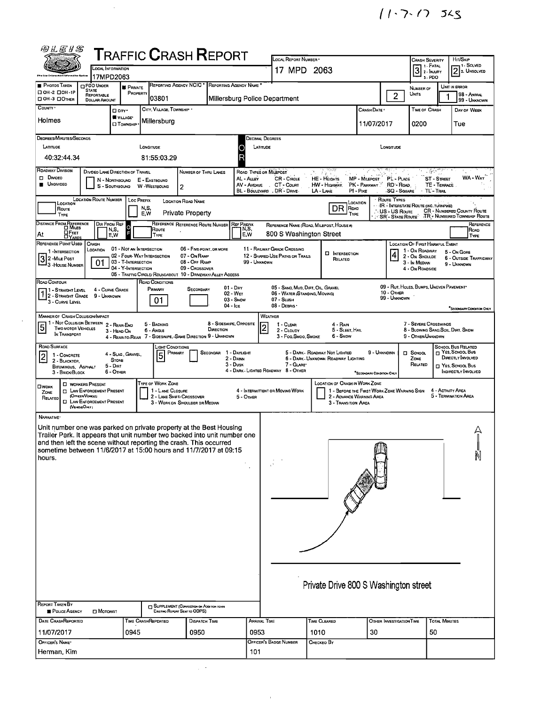$11.7.17$  JLS

|                                                                                                                                                  |                                                                 |                                                 | <b>TRAFFIC CRASH REPORT</b>                                               |                                                           |                                      |              | LOCAL REPORT NUMBER                                                |                                                                       |                                                                                      |                                 | CRASH SEVERITY<br>1 1 - Fatal                           |                            | HIT/SKIP                                                                 | i 1 - Solved      |
|--------------------------------------------------------------------------------------------------------------------------------------------------|-----------------------------------------------------------------|-------------------------------------------------|---------------------------------------------------------------------------|-----------------------------------------------------------|--------------------------------------|--------------|--------------------------------------------------------------------|-----------------------------------------------------------------------|--------------------------------------------------------------------------------------|---------------------------------|---------------------------------------------------------|----------------------------|--------------------------------------------------------------------------|-------------------|
|                                                                                                                                                  | <b>LOCAL INFORMATION</b><br>17MPD2063                           |                                                 |                                                                           |                                                           |                                      |              | 17 MPD 2063                                                        |                                                                       |                                                                                      |                                 | $\overline{3}$<br>2 - INJURY<br>3-PDO                   |                            | 12                                                                       | 2. UNSOLVED       |
| <b>PHOTOS TAKEN</b><br>□ 0H-2 □ 0H-1P<br>DOH-3 DOTHER                                                                                            | PDO UNDER<br><b>STATE</b><br>REPORTABLE<br><b>DOLLAR AMOUNT</b> | <b>F</b> PRIVATE<br>PROPERTY                    | <b>REPORTING AGENCY NCIC</b><br>03801                                     |                                                           | <b>REPORTING AGENCY NAME</b>         |              | Millersburg Police Department                                      |                                                                       |                                                                                      | $\overline{2}$                  | NUMBER OF<br>Units                                      |                            | UNIT IN ERROR<br>98 - ANIMAL                                             | 99 - UNKNOWN      |
| COUNTY '                                                                                                                                         |                                                                 | $\square$ City $\cdot$                          | CITY, VILLAGE, TOWNSHIP .                                                 |                                                           |                                      |              |                                                                    |                                                                       | CRASH DATE                                                                           |                                 | TIME OF CRASH                                           |                            | DAY OF WEEK                                                              |                   |
| Holmes                                                                                                                                           |                                                                 | VILLAGE*<br><b>CI</b> TOWNSHIP                  | Millersburg                                                               |                                                           |                                      |              |                                                                    |                                                                       | 11/07/2017                                                                           |                                 | 0200                                                    |                            | Tue                                                                      |                   |
| <b>DEGREES/MINUTES/SECONOS</b><br>LATITUDE                                                                                                       |                                                                 |                                                 | LONGITUDE                                                                 |                                                           | Ο                                    |              | DECIMAL DEGREES<br>LATITUDE                                        |                                                                       |                                                                                      | LONGITUDE                       |                                                         |                            |                                                                          |                   |
| 40:32:44.34                                                                                                                                      |                                                                 |                                                 | 81:55:03.29                                                               |                                                           | R                                    |              |                                                                    |                                                                       |                                                                                      |                                 |                                                         |                            |                                                                          |                   |
| ROADWAY DIVISION<br>$\square$ Divideo                                                                                                            | DIVIDEO LANE DIRECTION OF TRAVEL                                | N - NORTHBOUND                                  | E - EASTBOUND                                                             | NUMBER OF THRU LANES                                      |                                      | AL - ALLEY   | ROAD TYPES OR MILEPOST<br>CR - CIRCLE                              | HE - HEIGHTS                                                          | MP - MILEPOST                                                                        | PL - PLACE                      | $\mathcal{L}=\{x_1,\ldots,x_n\}$                        | <b>ST-STREET</b>           |                                                                          | WA - WAY          |
| <b>UNOIVIDEO</b>                                                                                                                                 |                                                                 | S - SOUTHBOUND                                  | W-WESTBOUND                                                               | $\overline{2}$                                            |                                      | AV - AVENUE  | CT - Court<br>BL - BOULEVARD , DR - DRIVE                          | HW - Highway.<br>LA - LANE                                            | `PK - Parkway` <sup>*</sup><br>$PI - P_{IRE}$                                        | RD - Road<br><b>SQ - SQUARE</b> |                                                         | TE - TERRACE<br>TL'-TRAL   |                                                                          |                   |
| LOCATION<br>Route                                                                                                                                | <b>LOCATION ROUTE NUMBER</b>                                    | <b>LOC PREFIX</b>                               | N.S.<br>E.W                                                               | <b>LOCATION ROAD NAME</b><br><b>Private Property</b>      |                                      |              |                                                                    | DR                                                                    | LOCATION<br>Road<br>TYPE                                                             | Route Types<br>US - US Route    | <b>IR.</b> INTERSTATE ROUTE (INC. TURNPIKE)             |                            | <b>CR</b> - NUMBERED COUNTY ROUTE                                        |                   |
| TYPE<br>DISTANCE FROM REFERENCE                                                                                                                  | DIR FROM REF                                                    | N,S,                                            | REFERENCE REFERENCE ROUTE NUMBER<br>Route                                 |                                                           | <b>REF PREFIX</b>                    | N,S,         | REFERENCE NAME (ROAD, MILEPOST, HOUSE #)                           |                                                                       |                                                                                      | SR - State Route                |                                                         |                            | TR - NUMBERED TOWNSHIP ROUTE                                             | REFERENCE<br>ROAD |
| ∐ Ғеет<br>At<br><b>DYARDS</b><br>REFERENCE POINT USED                                                                                            | <b>CRASH</b>                                                    | F<br>E,W                                        | TYPE                                                                      |                                                           |                                      | E, W         | 800 S Washington Street                                            |                                                                       |                                                                                      |                                 | LOCATION OF FIRST HARMFUL EVENT                         |                            |                                                                          | <b>TYPE</b>       |
| 1-INTERSECTION<br>3 2 - Mille Post                                                                                                               | LOCATION<br>01                                                  | 01 - NOT AN INTERSECTION<br>03 - T-INTERSECTION | 02 - FOUR- WAY INTERSECTION                                               | 06 - FIVE-POINT, OR MORE<br>07 - On RAMP<br>08 - OFF RAMP |                                      | 99 - UNKNOWN | 11 - RAILWAY GRADE CROSSING<br>12 - SHARED-USE PATHS OR TRAILS     | <b>D</b> INTERSECTION<br>RELATED                                      |                                                                                      | $\vert 4 \vert$                 | 1 - On ROADWAY<br>2 - On Shoulde<br>3 - In Median       |                            | 5 - On Gore<br>6 - OUTSIDE TRAFFICWAY                                    |                   |
| - 3 - House Number                                                                                                                               |                                                                 | 04 - Y-INTERSECTION                             | 05 - TRAFFIC CIRCLE/ ROUNDABOUT 10 - DRIVEWAY/ ALLEY ACCESS               | 09 - Crossover                                            |                                      |              |                                                                    |                                                                       |                                                                                      |                                 | 4 - On Roansine                                         |                            | 9 - UNKNOWN                                                              |                   |
| ROAD CONTOUR<br>  1 - Straight Level<br>1 - STRAIGHT LEVEL                                                                                       | 4 - CURVE GRADE<br>9 - Unknown                                  |                                                 | ROAD CONDITIONS<br>PRIMARY                                                | SECONDARY                                                 | $01 - \text{Dry}$<br>02 - WET        |              | 05 - SAND, MUD, DIRT, OIL, GRAVEL<br>06 - WATER (STANDING, MOVING) |                                                                       |                                                                                      | 10 - OTHER                      | 09 - RUT, HOLES, BUMPS, UNEVEN PAVEMENT*                |                            |                                                                          |                   |
| 3 - CURVE LEVEL                                                                                                                                  |                                                                 |                                                 | 01                                                                        |                                                           | 03 - Snow<br>04 - Ice                |              | 07 - SLUSH<br>08 - DEBRIS                                          |                                                                       |                                                                                      | 99 - UNKNOWN                    |                                                         |                            | "SECONDARY CONDITION ONLY                                                |                   |
| <b>MANNER OF CRASH COLLISION/IMPACT</b><br>1 - Not Collision Between 2 - Rear-End<br>5<br><b>TWO MOTOR VEHICLES</b>                              |                                                                 |                                                 | 5 - BACKING                                                               |                                                           | 8 - SIDESWIPE, OPPOSITE              |              | WEATHER<br>1 - CLEAR<br>$\overline{2}$                             | 4 - Rain                                                              |                                                                                      |                                 | 7 - SEVERE CROSSWINDS                                   |                            |                                                                          |                   |
| IN TRANSPORT                                                                                                                                     |                                                                 | 3 - HEAD-ON                                     | 6 - ANGLE<br>4 - REAR-TO-REAR 7 - SIDESWIPE, -SAME DIRECTION 9 - UNKNOWN  |                                                           | DIRECTION                            |              | 2 - CLOUDY<br>3 - Fog, Smoo, Smoke                                 | 6 - Snow                                                              | 5 - SLEET, HAIL                                                                      |                                 | 8 - BLOWING SAND, SOIL, DIRT, SNDW<br>9 - OTHER/UNKNOWN |                            |                                                                          |                   |
| ROAD SURFACE<br>$\overline{\mathbf{c}}$<br>1 - CONCRETE<br>2 - BLACKTOP.                                                                         |                                                                 | 4 - SLAG, GRAVEL,<br><b>STONE</b>               | LIGHT CONDITIONS<br>PRIMARY<br>$\overline{5}$                             |                                                           | SECONDAR<br>1 - Daylight<br>2 - DAWN |              |                                                                    | 5 - DARK - ROADWAY NOT LIGHTED<br>6 - DARK - UNKNOWN ROADWAY LIGHTING | 9 - UNKNOWN                                                                          |                                 | П SCHOOL<br>ZONE                                        |                            | SCHOOL BUS RELATED<br><sub>[7</sub> Yes, School Bus<br>DIRECTLY INVOLVED |                   |
| BITUMINOUS, ASPHALT<br>3 - BRICK BLOCK                                                                                                           |                                                                 | 5 - Dirt<br>6 - OTHER                           |                                                                           |                                                           | 3 - Dusk                             |              | 7 - GLARE*<br>4 - DARK - LIGHTED ROADWAY 8 - OTHER                 |                                                                       | SECONDARY CONDITION ONLY                                                             |                                 | RELATED                                                 |                            | T YES, SCHOOL BUS<br><b>INDIRECTLY INVOLVED</b>                          |                   |
| <b>OWORK</b><br>ZONE                                                                                                                             | <b>D</b> WORKERS PRESENT<br><b>EL LAW ENFORCEMENT PRESENT</b>   |                                                 | TYPE OF WORK ZONE<br>1 - LANE CLOSURE                                     |                                                           |                                      |              | 4 - INTERMITTENT OR MOVING WORK                                    |                                                                       | <b>LOCATION OF CRASH IN WORK ZONE</b><br>1 - BEFORE THE FIRST WORK ZONE WARNING SIGN |                                 |                                                         | 4 - ACTIVITY AREA          |                                                                          |                   |
| RELATED<br>(VENCLEONLY)                                                                                                                          | (OFFICER/VEHICLE)<br><b>I LAW ENFORCEMENT PRESENT</b>           |                                                 | 2 - LANE SHIFT/ CROSSOVER<br>3 - WORK ON SHOULDER DR MEDIAN               |                                                           |                                      | 5 - OTHER    |                                                                    |                                                                       | 2 - ADVANCE WARNING AREA<br>3 - Transition Area                                      |                                 |                                                         |                            | 5 - TERMINATION AREA                                                     |                   |
| NARRATIVE-                                                                                                                                       |                                                                 |                                                 |                                                                           |                                                           |                                      |              |                                                                    |                                                                       |                                                                                      |                                 |                                                         |                            |                                                                          |                   |
| Unit number one was parked on private property at the Best Housing<br>Trailer Park, It appears that unit number two backed into unit number one  |                                                                 |                                                 |                                                                           |                                                           |                                      |              |                                                                    |                                                                       |                                                                                      |                                 |                                                         |                            |                                                                          |                   |
| and then left the scene without reporting the crash. This occurred<br>sometime between 11/6/2017 at 15:00 hours and 11/7/2017 at 09:15<br>hours. |                                                                 |                                                 |                                                                           |                                                           |                                      |              |                                                                    |                                                                       |                                                                                      |                                 |                                                         |                            |                                                                          |                   |
|                                                                                                                                                  |                                                                 |                                                 |                                                                           |                                                           |                                      |              |                                                                    |                                                                       |                                                                                      |                                 |                                                         |                            |                                                                          |                   |
|                                                                                                                                                  |                                                                 |                                                 |                                                                           |                                                           |                                      |              |                                                                    |                                                                       |                                                                                      |                                 |                                                         |                            |                                                                          |                   |
|                                                                                                                                                  |                                                                 |                                                 |                                                                           |                                                           |                                      |              |                                                                    |                                                                       |                                                                                      |                                 |                                                         |                            |                                                                          |                   |
|                                                                                                                                                  |                                                                 |                                                 |                                                                           |                                                           |                                      |              |                                                                    |                                                                       |                                                                                      |                                 |                                                         |                            |                                                                          |                   |
|                                                                                                                                                  |                                                                 |                                                 |                                                                           |                                                           |                                      |              |                                                                    |                                                                       |                                                                                      |                                 |                                                         |                            |                                                                          |                   |
|                                                                                                                                                  |                                                                 |                                                 |                                                                           |                                                           |                                      |              |                                                                    |                                                                       |                                                                                      |                                 |                                                         |                            |                                                                          |                   |
|                                                                                                                                                  |                                                                 |                                                 |                                                                           |                                                           |                                      |              |                                                                    |                                                                       |                                                                                      |                                 |                                                         |                            |                                                                          |                   |
|                                                                                                                                                  |                                                                 |                                                 |                                                                           |                                                           |                                      |              |                                                                    |                                                                       |                                                                                      |                                 |                                                         |                            |                                                                          |                   |
|                                                                                                                                                  |                                                                 |                                                 |                                                                           |                                                           |                                      |              |                                                                    |                                                                       | Private Drive 800 S Washington street                                                |                                 |                                                         |                            |                                                                          |                   |
| <b>REPORT TAKEN BY</b><br>POLICE AGENCY                                                                                                          | MOTORIST                                                        |                                                 | SUPPLEMENT (CORRECTION OR ADDITION TO AN<br>EXISTING REPORT SENT TO ODPS) |                                                           |                                      |              |                                                                    |                                                                       |                                                                                      |                                 |                                                         |                            |                                                                          |                   |
| DATE CRASHREPORTED<br>11/07/2017                                                                                                                 |                                                                 | 0945                                            | TIME CRASHREPORTED                                                        | DISPATCH TIME<br>0950                                     |                                      | 0953         | ARRIVAL TIME                                                       | TIME CLEARED<br>1010                                                  | 30                                                                                   | <b>OTHER INVESTIGATION TIME</b> |                                                         | <b>TOTAL MINUTES</b><br>50 |                                                                          |                   |
|                                                                                                                                                  |                                                                 |                                                 |                                                                           |                                                           |                                      |              | OFFICER'S BADGE NUMBER                                             |                                                                       |                                                                                      |                                 |                                                         |                            |                                                                          |                   |
| OFFICER'S NAME*<br>Herman, Kim                                                                                                                   |                                                                 |                                                 |                                                                           |                                                           |                                      |              |                                                                    | Снескео Ву                                                            |                                                                                      |                                 |                                                         |                            |                                                                          |                   |

 $\mathcal{A}^{\mathcal{A}}$ 

 $\mathcal{A}^{\mathcal{A}}$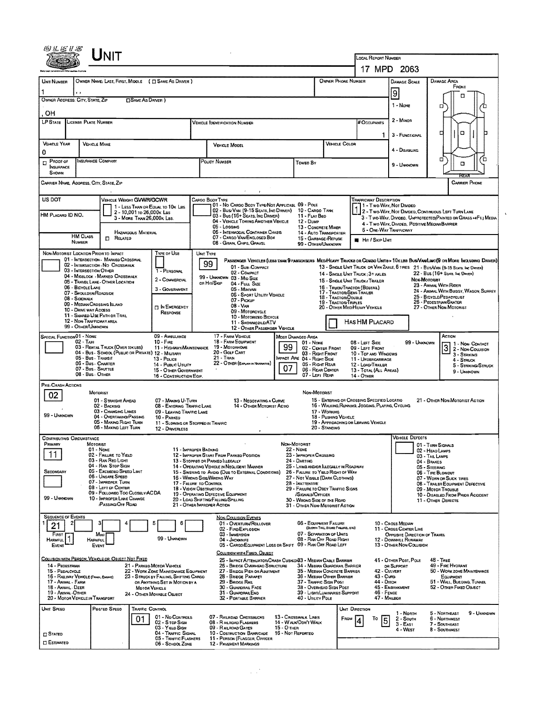|                                                                                                                                          |                                                              |                                                                       |                 |                                                                         |                                                                  | LOCAL REPORT NUMBER<br>17 MPD 2063                                                                                          |                                                                                                                 |                                                                                                    |                                             |                                                                                               |                           |                                                                |                                |                                                                                                                                |  |  |
|------------------------------------------------------------------------------------------------------------------------------------------|--------------------------------------------------------------|-----------------------------------------------------------------------|-----------------|-------------------------------------------------------------------------|------------------------------------------------------------------|-----------------------------------------------------------------------------------------------------------------------------|-----------------------------------------------------------------------------------------------------------------|----------------------------------------------------------------------------------------------------|---------------------------------------------|-----------------------------------------------------------------------------------------------|---------------------------|----------------------------------------------------------------|--------------------------------|--------------------------------------------------------------------------------------------------------------------------------|--|--|
|                                                                                                                                          |                                                              | OWNER NAME: LAST, FIRST, MIDOLE ( $\Box$ SAME AS DRIVER )             |                 |                                                                         |                                                                  |                                                                                                                             |                                                                                                                 |                                                                                                    | DAMAGE SCALE                                |                                                                                               |                           |                                                                |                                |                                                                                                                                |  |  |
| <b>UNIT NUMBER</b>                                                                                                                       |                                                              |                                                                       |                 |                                                                         | OWNER PHONE NUMBER                                               | DAMAGE AREA<br>FRONT                                                                                                        |                                                                                                                 |                                                                                                    |                                             |                                                                                               |                           |                                                                |                                |                                                                                                                                |  |  |
| OWNER ADDRESS: CITY, STATE, ZIP                                                                                                          | <b>CISAME AS DRIVER</b> )                                    |                                                                       |                 |                                                                         |                                                                  | 9                                                                                                                           |                                                                                                                 | п                                                                                                  |                                             |                                                                                               |                           |                                                                |                                |                                                                                                                                |  |  |
| $1 -$ None<br>Ω<br>OН                                                                                                                    |                                                              |                                                                       |                 |                                                                         |                                                                  |                                                                                                                             |                                                                                                                 |                                                                                                    |                                             |                                                                                               |                           |                                                                |                                |                                                                                                                                |  |  |
| LP STATE                                                                                                                                 | <b>LICENSE PLATE NUMBER</b>                                  |                                                                       |                 | <b>VEHICLE TOENTIFICATION NUMBER</b>                                    |                                                                  |                                                                                                                             |                                                                                                                 |                                                                                                    | # Occupants                                 | 2 - Minon                                                                                     |                           |                                                                |                                |                                                                                                                                |  |  |
|                                                                                                                                          |                                                              |                                                                       |                 |                                                                         |                                                                  |                                                                                                                             |                                                                                                                 |                                                                                                    |                                             |                                                                                               |                           | 3 - FUNCTIONAL                                                 |                                | O<br>о                                                                                                                         |  |  |
| <b>VEHICLE YEAR</b>                                                                                                                      |                                                              | <b>VEHICLE MAKE</b>                                                   |                 |                                                                         |                                                                  | <b>VEHICLE MODEL</b>                                                                                                        | VEHICLE COLOR                                                                                                   |                                                                                                    |                                             | 4 - Disabling                                                                                 |                           |                                                                |                                |                                                                                                                                |  |  |
| 0<br>$P$ PROOF OF                                                                                                                        |                                                              | INSURANCE COMPANY                                                     |                 |                                                                         | POLICY NUMBER<br>Toweo By                                        |                                                                                                                             |                                                                                                                 |                                                                                                    |                                             |                                                                                               |                           | $9 -$ <b>UNKNOWN</b>                                           |                                | □<br>Έ<br>□                                                                                                                    |  |  |
| <b>INSURANCE</b><br>SHOWN                                                                                                                |                                                              |                                                                       |                 |                                                                         |                                                                  |                                                                                                                             |                                                                                                                 |                                                                                                    |                                             |                                                                                               |                           |                                                                |                                |                                                                                                                                |  |  |
| CARRIER NAME, ADDRESS, CITY, STATE, ZIP                                                                                                  |                                                              |                                                                       |                 |                                                                         |                                                                  |                                                                                                                             |                                                                                                                 |                                                                                                    |                                             |                                                                                               |                           |                                                                |                                | <b>CARRIER PHONE</b>                                                                                                           |  |  |
| US DOT                                                                                                                                   |                                                              | VEHICLE WEIGHT GVWR/GCWR                                              |                 |                                                                         |                                                                  | Cargo Body Type                                                                                                             |                                                                                                                 |                                                                                                    |                                             |                                                                                               | TRAFFICWAY DESCRIPTION    |                                                                |                                |                                                                                                                                |  |  |
| HM PLACARD ID NO.                                                                                                                        |                                                              | 2 - 10,001 to 26,000k Lss                                             |                 | 1 - LESS THAN OR EQUAL TO 10K LES                                       |                                                                  | 01 - No CARGO BODY TYPE/NOT APPLICABL 09 - POLE<br>02 - Bus/VAN (9-15 SEATS INC DRIVER)<br>03 - Bus (16+ SEATS, INC DRIVER) |                                                                                                                 | 10 - CARGO TANK<br>11 - FLAT BEO                                                                   |                                             |                                                                                               |                           | 1 - Two-Way, Not Divideo                                       |                                | 2 - Two-Way, Not Divideo, Continuous LEFT TURN LANE                                                                            |  |  |
|                                                                                                                                          |                                                              | 3 - MORE THAN 26,000 K LBS.                                           |                 |                                                                         |                                                                  | 04 - VEHICLE TOWING ANOTHER VEHICLE<br>05 - Logging                                                                         |                                                                                                                 | <b>12 - DUMP</b><br>13 - CONCRETE MUSER                                                            |                                             |                                                                                               |                           | 4 - Two-WAY, DIVIDED, POSITIVE MEQUANBARRIER                   |                                | 3 - Two-Way, Divideo, Unprotecteo(Painted or Grass > 4Ft.) Media                                                               |  |  |
|                                                                                                                                          | <b>HM CLASS</b>                                              | HAZARDOUS MATERIAL<br><b>EL RELATED</b>                               |                 |                                                                         |                                                                  | 05 - INTERMODAL CONTAINER CHASIS<br>07 - CARGO VAN/ENGLOSED BOX                                                             |                                                                                                                 | 14 - AUTO TRANSPORTER<br>15 - GARBAGE /REFUSE                                                      |                                             |                                                                                               |                           | 5 - ONE-WAY TRAFFICWAY                                         |                                |                                                                                                                                |  |  |
|                                                                                                                                          | <b>NUMBER</b>                                                |                                                                       |                 |                                                                         |                                                                  | 08 - GRAIN, CHPS, GRAVEL                                                                                                    |                                                                                                                 | 99 - OTHER/UNKNOWN                                                                                 |                                             |                                                                                               | <b>HI HIT / SKIP UNIT</b> |                                                                |                                |                                                                                                                                |  |  |
| NON-MOTORIST LOCATION PRIOR TO IMPACT                                                                                                    |                                                              | 01 - INTERSECTION - MARKED CROSSWAL                                   |                 | TYPE OF USE                                                             |                                                                  | UNIT TYPE                                                                                                                   |                                                                                                                 |                                                                                                    |                                             |                                                                                               |                           |                                                                |                                | PASSENGER VEHICLES (LESS THAN 9 PASSENGERS MEDIHEAVY TRUCKS OR COMBO UNITS > 10 K LBS BUS/VAN/LIMO(9 OR MORE INCLUDING DRIVER) |  |  |
|                                                                                                                                          | 03 - INTERSECTION OTHER                                      | 02 - INTERSECTION - NO CROSSWALK                                      |                 | 1 - PERSONAL                                                            |                                                                  | 99<br>01 - Sua-Compact<br>02 - COMPACT                                                                                      |                                                                                                                 |                                                                                                    |                                             | 14 - SINGLE UNIT TRUCK; 3+ AXLES                                                              |                           |                                                                |                                | 13 - SINGLE UNIT TRUCK OR VAN 2AXLE, 6 TIRES 21 - BUS/VAN (9-15 SEATS, Inc DRIVER)<br>22 - Bus (16+ SEATS, Inc DRIVER)         |  |  |
|                                                                                                                                          |                                                              | 04 - MIOBLOCK - MARKED CROSSWALK<br>05 - TRAVEL LANE - OTHER LOCATION |                 | 2 - COMMERCIAL                                                          |                                                                  | 99 - UNKNOWN 03 - MIO SIZE<br>OR HIT/SKIP<br>04 - Fuu, Size                                                                 |                                                                                                                 |                                                                                                    |                                             | 15 - SINGLE UNIT TRUCK / TRAILER                                                              |                           |                                                                | NON-MOTORIST                   | 23 - ANIMAL WITH RIDER                                                                                                         |  |  |
|                                                                                                                                          | 06 - BICYCLE LANE<br>07 - SHOULDER/ROADSIDE<br>08 - SIDEWALK |                                                                       |                 | 3 - Government                                                          |                                                                  | 05 - Munivan<br>06 - SPORT UTILITY VEHICLE                                                                                  |                                                                                                                 |                                                                                                    | 18 - TRACTOR/DOUBLE                         | 16 - Truck/Tractor (Bobtal)<br>17 - TRACTOR/SEMI-TRAILER                                      |                           |                                                                |                                | 24 - ANIMAL WITH BUGGY, WAGON, SURREY<br>25 - BICYCLE/PEDACYCLIST                                                              |  |  |
|                                                                                                                                          | 10 - DRNE WAY ACCESS                                         | 09 - MEDIAN/CROSSING ISLAND                                           |                 | <b>IN EMERGENCY</b>                                                     |                                                                  | 07 - Pickup<br>08 - VAN                                                                                                     |                                                                                                                 |                                                                                                    | <b>19 - TRACTOR/TRIPLES</b>                 | 20 - OTHER MEDIMEAVY VEHICLE                                                                  |                           |                                                                |                                | 26 - PEDESTRIAN/SKATER<br>27 - Other Non-Motorist                                                                              |  |  |
|                                                                                                                                          | 12 - NON-TRAFFICWAY AREA                                     | 11 - SHARED-USE PATH OR TRAIL                                         |                 | RESPONSE                                                                | 09 - MOTORCYCLE<br>10 - MOTORIZEO BICYCLE<br>11 - SNOWMOBILE/ATV |                                                                                                                             |                                                                                                                 |                                                                                                    |                                             |                                                                                               | Has HM Placard            |                                                                |                                |                                                                                                                                |  |  |
|                                                                                                                                          | 99 - OTHER/UNKNOWN                                           |                                                                       |                 |                                                                         |                                                                  | 12 - OTHER PASSENGER VEHICLE                                                                                                |                                                                                                                 |                                                                                                    |                                             |                                                                                               |                           |                                                                |                                |                                                                                                                                |  |  |
| <b>SPECIAL FUNCTIONO1 - NONE</b><br>09 - AMBULANCE<br>02 - TAXI<br>$10 - F_{BEE}$                                                        |                                                              |                                                                       |                 |                                                                         |                                                                  | 17 - FARM VEHICLE<br><b>MOST DAMAGEO AREA</b><br>18 - FARM EQUIPMENT<br>01 - None<br>99                                     |                                                                                                                 |                                                                                                    |                                             |                                                                                               | 08 - LEFT SIDE            |                                                                | 99 - UNKNOWN                   | ACTION<br>1 1 - Non-Contact                                                                                                    |  |  |
| 03 - RENTAL TRUCK (OVER 10KLBS)<br>11 - HIGHWAY/MAINTENANCE<br>04 - Bus - School (Public or Private) 12 - Milltary<br>05 - Bus - Transit |                                                              |                                                                       |                 |                                                                         |                                                                  | 19 - MOTORHOME<br>20 - Golf Cart<br>21 - Train                                                                              | 02 - CENTER FRONT<br>03 - RIGHT FRONT<br>IMPACT ARE 04 - RIGHT SIDE                                             | 3 2 - NON-CONTACT<br>09 - LEFT FRONT<br>10 - Top and Windows<br>3 - STRIKING<br>11 - UNDERCARRIAGE |                                             |                                                                                               |                           |                                                                |                                |                                                                                                                                |  |  |
|                                                                                                                                          | 06 - Bus Charter<br>07 - Bus - SHUTTLE                       |                                                                       |                 | 13 - Pouce<br>14 - Pusuc UTIUTY<br>15 - OTHER GOVERNMENT                |                                                                  | 22 - OTHER (EXPLAIN IN NASRATIVE)                                                                                           | 05 - Right Rear<br>06 - REAR CENTER                                                                             |                                                                                                    | 12 - LOAD/TRAILER<br>13 - TOTAL (ALL AREAS) |                                                                                               |                           | 4 - STRUCK<br>5 - STRIKING/STRUCK                              |                                |                                                                                                                                |  |  |
|                                                                                                                                          | 08 - Bus - Other                                             |                                                                       |                 | 16 - CONSTRUCTION EQIP.                                                 |                                                                  |                                                                                                                             | 07                                                                                                              | 07 - LEFT REAR                                                                                     |                                             | 14 - OTHER                                                                                    |                           |                                                                |                                | 9 - Unknown                                                                                                                    |  |  |
| PRE-CRASH ACTIONS                                                                                                                        |                                                              | MOTORIST                                                              |                 |                                                                         |                                                                  |                                                                                                                             |                                                                                                                 | Non-Motorist                                                                                       |                                             |                                                                                               |                           |                                                                |                                |                                                                                                                                |  |  |
| 02                                                                                                                                       |                                                              | 01 - STRAIGHT AHEAD<br>02 - BACKING                                   |                 | 07 - MAKING U-TURN<br>08 - ENTERING TRAFFIC LANE                        |                                                                  | 13 - Negotiating a Curve<br>14 - OTHER MOTORIST ACTIO                                                                       |                                                                                                                 |                                                                                                    |                                             | 15 ENTERING OR CROSSING SPECIFIED LOCATIO<br>16 - WALKING, RUNNING, JOGGING, PLAYING, CYCLING |                           |                                                                |                                | 21 - OTHER NON-MOTORIST ACTION                                                                                                 |  |  |
| 99 - UNKNOWN                                                                                                                             |                                                              | 03 - CHANGING LANES<br>04 - OVERTAKING/PASSING                        |                 | 09 - LEAVING TRAFFIC LANE<br>10 - PARKED                                |                                                                  |                                                                                                                             |                                                                                                                 |                                                                                                    | 17 - WORKING<br>18 - Pushing Vehicle        |                                                                                               |                           |                                                                |                                |                                                                                                                                |  |  |
|                                                                                                                                          |                                                              | 05 - MAKING RIGHT TURN<br>06 - MAXING LEFT TURN                       |                 | 11 - SLOWING OR STOPPED IN TRAFFIC<br>12 - DRIVERLESS                   |                                                                  |                                                                                                                             |                                                                                                                 |                                                                                                    | 20 - Standing                               | 19 - APPROACHING OR LEAVING VEHICLE                                                           |                           |                                                                |                                |                                                                                                                                |  |  |
| <b>CONTRIBUTING CIRCUMSTANCE</b>                                                                                                         |                                                              |                                                                       |                 |                                                                         |                                                                  |                                                                                                                             |                                                                                                                 |                                                                                                    |                                             |                                                                                               |                           | <b>VEHICLE DEFECTS</b>                                         |                                |                                                                                                                                |  |  |
| Primary<br>11                                                                                                                            | MOTORIST                                                     | 01 - Nove<br>02 - FAILURE TO YIELD                                    |                 | 11 - IMPROPER BACKING                                                   |                                                                  | 12 - IMPROPER START FROM PARKEO POSITION                                                                                    | NON-MOTORIST<br>22 - NONE                                                                                       | 23 - IMPROPER CROSSING                                                                             |                                             |                                                                                               |                           |                                                                | 02 - HEAD LAMPS                | 01 - TURN SIGNALS                                                                                                              |  |  |
|                                                                                                                                          |                                                              | 03 - RAN RED LIGHT<br>04 - RAN STOP SIGN                              |                 |                                                                         |                                                                  | 13 - STOPPED OR PARKED LLEGALLY<br>14 - OPERATING VEHICLE IN NEGLIGENT MANNER                                               | 24 - DARTING                                                                                                    |                                                                                                    |                                             |                                                                                               |                           |                                                                | 03 - TAIL LAMPS<br>04 - BRAKES |                                                                                                                                |  |  |
| SECONDARY                                                                                                                                |                                                              | 05 - Excessed Speed Limit<br>06 - UNSAPE SPEED                        |                 |                                                                         |                                                                  | 15 - Swering to Avoid (Due to External Conditions)<br>16 - WRONG SIDE/WRONG WAY                                             | 25 - LYING AND/OR ILLEGALLY IN ROADWAY<br>26 - FALURE TO YIELD RIGHT OF WAY<br>27 - Not Visible (DARK CLOTHING) |                                                                                                    |                                             |                                                                                               |                           | 05 - STEERING<br>06 - TIRE BLOWOUT<br>07 - WORN OR SLICK TIRES |                                |                                                                                                                                |  |  |
|                                                                                                                                          |                                                              | 07 - IMPROPER TURN<br>08 - LEFT OF CENTER                             |                 |                                                                         |                                                                  | 17 - FALURE TO CONTROL<br>18 - VISION OBSTRUCTION                                                                           | 28 - INATTENTIVE<br>29 - FAILURE TO OBEY TRAFFIC SIGNS                                                          |                                                                                                    |                                             |                                                                                               |                           | 08 - TRAILER EQUIPMENT DEFECTIVE<br>09 - MOTOR TROUBLE         |                                |                                                                                                                                |  |  |
| 99 - UNKNOWN                                                                                                                             |                                                              | 09 - FOLLOWED TOO CLOSELY/ACDA<br>10 - IMPROPER LANE CHANGE           |                 |                                                                         |                                                                  | 19 - OPERATING DEFECTIVE EQUIPMENT<br>20 - LOAD SHIFTING/FALLING/SPILLING                                                   | /SIGNALS/OFFICER<br>30 - WRONG SIDE OF THE ROAD                                                                 |                                                                                                    |                                             |                                                                                               |                           |                                                                |                                | 10 - DISABLED FROM PRIOR ACCIDENT<br>11 - OTHER DEFECTS                                                                        |  |  |
|                                                                                                                                          |                                                              | PASSING/OFF ROAD                                                      |                 |                                                                         |                                                                  | 21 - Other Improper Action                                                                                                  |                                                                                                                 | 31 - OTHER NON-MOTORIST ACTION                                                                     |                                             |                                                                                               |                           |                                                                |                                |                                                                                                                                |  |  |
| <b>SEQUENCE OF EVENTS</b><br>21                                                                                                          | 2                                                            | з                                                                     |                 | 5<br>6                                                                  |                                                                  | <b>NON-COLLISION EVENTS</b><br>01 - Overturn/Rollover                                                                       |                                                                                                                 | 06 - EQUIPMENT FAILURE                                                                             | (BLOWN TIRE, BRAKE FAILURE, ETC)            |                                                                                               |                           | 10 - CROSS MEDIAN                                              |                                |                                                                                                                                |  |  |
| First                                                                                                                                    |                                                              | Most                                                                  |                 | 99 - UMKNOWN                                                            |                                                                  | 02 - FIRE/EXPLOSION<br>03 - IMMERSION                                                                                       |                                                                                                                 | 07 - SEPARATION OF UNITS<br>08 - RAN OFF ROAD RIGHT                                                |                                             |                                                                                               |                           | 11 - CROSS CENTER LINE<br>OPPOSITE DIRECTION OF TRAVEL         |                                |                                                                                                                                |  |  |
| <b>HARMFUL</b><br>EVENT                                                                                                                  | <b>HARMFUL</b>                                               | EVENT                                                                 |                 |                                                                         |                                                                  | 04 - JACKKNIFE<br>05 - CARGO/EQUIPMENT LOSS OR SHIFT 09 - RAN OFF ROAD LEFT                                                 |                                                                                                                 |                                                                                                    |                                             |                                                                                               |                           | 12 - DOWNHILL RUNAWAY<br>13 - OTHER NON-COLLISION              |                                |                                                                                                                                |  |  |
|                                                                                                                                          |                                                              | COLLISION WITH PERSON, VEHICLE OR OBJECT NOT FIXED                    |                 |                                                                         |                                                                  | COLLISION WITH FIXED, OBJECT<br>25 - IMPACT ATTENUATOR/CRASH CUSHION33 - MEDIAN CABLE BARRIER                               |                                                                                                                 |                                                                                                    |                                             |                                                                                               |                           | 41 - OTHER POST, POLE                                          |                                | 48 - TREE                                                                                                                      |  |  |
| 14 - PEDESTRIAN<br>15 - PEDALCYCLE                                                                                                       |                                                              |                                                                       |                 | 21 - PARKED MOTOR VEHICLE<br>22 - WORK ZONE MAINTENANCE EQUIPMENT       |                                                                  | 25 - BRIDGE OVERHEAD STRUCTURE<br>27 - BRIDGE PIER OR ABUTMENT                                                              |                                                                                                                 | 34 - MEDIAN GUARDRAIL BARRIER<br>35 - MEDIAN CONCRETE BARRIER                                      |                                             |                                                                                               | 42 - Culvent              | OR SUPPORT                                                     |                                | 49 - FIRE HYDRANT<br>50 - WORK ZONE MAINTENANCE                                                                                |  |  |
| 17 - Animal - Farm                                                                                                                       | 16 - RAILWAY VEHICLE (TRAIN, ENGINE)                         |                                                                       |                 | 23 - STRUCK BY FALLING, SHETING CARGO<br>OR ANYTHING SET IN MOTION BY A |                                                                  | 28 - BROGE PARAPET<br>29 - Bridge Rail                                                                                      |                                                                                                                 | 36 - MEDIAN OTHER BARRIER<br>37 - TRAFFIC SIGN POST                                                |                                             |                                                                                               | 43 - Cuns<br>44 - Опси    |                                                                |                                | EQUIPMENT<br>51 - WALL, BURDING, TUNNEL                                                                                        |  |  |
| 18 - Animal - Deer<br>19 - ANIMAL OTHER                                                                                                  | 20 - MOTOR VEHICLE IN TRANSPORT                              |                                                                       | MOTOR VEHICLE   | 24 - OTHER MOVABLE OBJECT                                               |                                                                  | 30 - GUARDRAIL FACE<br>31 - GUARDRAILENO<br>32 - PORTABLE BARRIER                                                           |                                                                                                                 | 38 - Overhead Sign Post<br>39 - LIGHT/LUMINARIES SUPPORT<br>40 - Utility Pole                      |                                             |                                                                                               | 46 FENCE<br>47 MALBOX     | 45 - EMBANKMENT                                                |                                | 52 - OTHER FIXED OBJECT                                                                                                        |  |  |
| UNIT SPEED                                                                                                                               |                                                              | Posted Speed                                                          | TRAFFIC CONTROL |                                                                         |                                                                  |                                                                                                                             |                                                                                                                 |                                                                                                    |                                             | UNIT DIRECTION                                                                                |                           |                                                                |                                |                                                                                                                                |  |  |
|                                                                                                                                          |                                                              |                                                                       | 01              | 01 - No CONTROLS<br>02 - S TOP SIGN                                     |                                                                  | 07 - RAILRDAD CROSSBUCKS<br>08 - RAILROAD FLASHERS                                                                          | 13 - Crosswalk Lines<br>14 - WALK/DONT WALK                                                                     |                                                                                                    |                                             | FROM                                                                                          | То<br>5                   | 1 - North<br>$2 -$ South                                       |                                | 5 - NORTHEAST<br>9 - Umondwin<br>6 - Northwest                                                                                 |  |  |
| $\square$ Stated                                                                                                                         |                                                              |                                                                       |                 | 03 - YIELD SIGN<br>04 - TRAFFIC SIGNAL                                  |                                                                  | 09 - RAILROAD GATES<br>10 - COSTRUCTION BARRICADE                                                                           | 15 - O THER<br>16 - Not Reported                                                                                |                                                                                                    |                                             |                                                                                               |                           | $3 - EAST$<br>4 - West                                         |                                | 7 - SOUTHEAST<br>8 - Southwest                                                                                                 |  |  |
| <b>CI ESTIMATED</b>                                                                                                                      |                                                              |                                                                       |                 | 05 - TRAFFIC FLASHERS<br>06 - School Zone                               |                                                                  | 11 - PERSON (FLAGGER, OFFICER<br><b>12 - PAVEMENT MARKINGS</b>                                                              |                                                                                                                 |                                                                                                    |                                             |                                                                                               |                           |                                                                |                                |                                                                                                                                |  |  |

 $\tilde{\mathbf{t}}$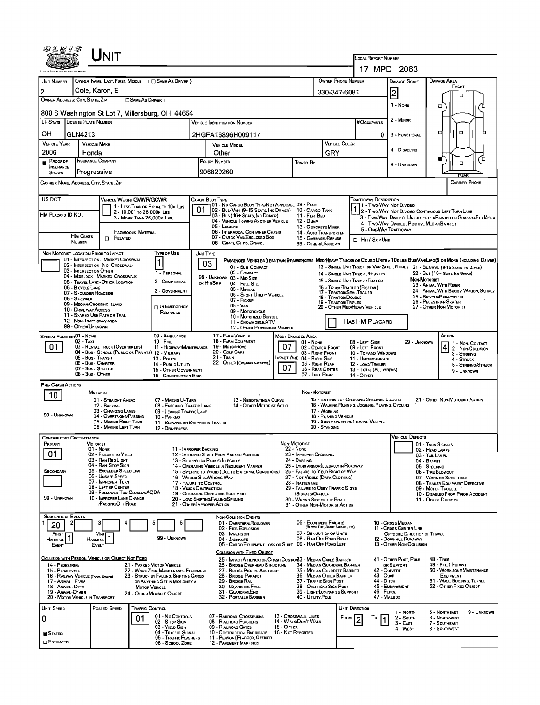|                                           | Unit                                                                         |                                                                                |                                                                                                           |                                                               |                                                                            |                                                                                                 |                                                        |                                                                                                                             |
|-------------------------------------------|------------------------------------------------------------------------------|--------------------------------------------------------------------------------|-----------------------------------------------------------------------------------------------------------|---------------------------------------------------------------|----------------------------------------------------------------------------|-------------------------------------------------------------------------------------------------|--------------------------------------------------------|-----------------------------------------------------------------------------------------------------------------------------|
|                                           |                                                                              |                                                                                |                                                                                                           |                                                               |                                                                            |                                                                                                 | LOCAL REPORT NUMBER<br>17 MPD 2063                     |                                                                                                                             |
|                                           |                                                                              |                                                                                |                                                                                                           |                                                               |                                                                            | <b>OWNER PHONE NUMBER</b>                                                                       |                                                        | <b>DAMAGE AREA</b>                                                                                                          |
| UNIT NUMBER<br>$\overline{2}$             | Cole, Karon, E                                                               | OWNER NAME: LAST, FIRST, MIDDLE ( Q SAME AS DRIVER )                           |                                                                                                           |                                                               |                                                                            |                                                                                                 | DAMAGE SCALE                                           | FRONT                                                                                                                       |
|                                           | OWNER ADDRESS: CITY, STATE, ZIP                                              | SAME AS DRIVER )                                                               |                                                                                                           |                                                               |                                                                            | 330-347-6081                                                                                    | 2                                                      | п                                                                                                                           |
|                                           |                                                                              | 800 S Washington St Lot 7, Millersburg, OH, 44654                              |                                                                                                           |                                                               |                                                                            |                                                                                                 | 1 - NONE                                               | 0                                                                                                                           |
|                                           | LP STATE LICENSE PLATE NUMBER                                                |                                                                                | Vehicle Identification Number                                                                             |                                                               |                                                                            | # Occupants                                                                                     | 2 - MINOR                                              |                                                                                                                             |
| он                                        | GLN4213                                                                      |                                                                                | 2HGFA16896H009117                                                                                         |                                                               |                                                                            |                                                                                                 | 0<br>3 - FUNCTIONAL                                    | $\Box$<br>с                                                                                                                 |
| <b>VEHICLE YEAR</b>                       | <b>VEHICLE MAKE</b>                                                          |                                                                                | VEHICLE MODEL                                                                                             |                                                               |                                                                            | <b>VEHICLE COLOR</b>                                                                            |                                                        |                                                                                                                             |
| 2006                                      | Honda                                                                        |                                                                                | Other                                                                                                     |                                                               | GRY                                                                        |                                                                                                 | 4 - Disabling                                          | ō                                                                                                                           |
| $P_{ROOFDF}$<br>INSURANCE<br><b>SHOWN</b> | <b>INSURANCE COMPANY</b><br>Progressive                                      |                                                                                | POLICY NUMBER<br>906820260                                                                                |                                                               | <b>Toweo By</b>                                                            |                                                                                                 | 9 - UNKNOWN                                            | $\Box$                                                                                                                      |
|                                           | CARRIER NAME, ADDRESS, CITY, STATE, ZIP                                      |                                                                                |                                                                                                           |                                                               |                                                                            |                                                                                                 |                                                        | <b>CARRIER PHONE</b>                                                                                                        |
| US DOT                                    |                                                                              | <b>VEHICLE WEIGHT GVWR/GCWR</b>                                                | CARGO BDDY TYPE                                                                                           |                                                               |                                                                            | Trafficway Description                                                                          |                                                        |                                                                                                                             |
|                                           |                                                                              | 1 - LESS THAN OR EQUAL TO 10K LBS<br>2 - 10,001 To 26,000K LBS                 | 101 - No Cargo Bddy Type/Not Applicabl 09 - Pole<br>02 - BUS/VAN (9-15 SEATS, INC DRIVER) 10 - CARGO TANK |                                                               |                                                                            |                                                                                                 | 1 - Two-Way, Not Divideo                               | 1 2 - Two-Way, Not Divideo, Continuous LEFT TURN LANE                                                                       |
| HM PLACARD ID NO.                         |                                                                              | 3 - MORE THAN 26,000K LBS.                                                     | 03 - Bus (16+ Seats, Inc Driver)<br>04 - VEHICLE TOWING ANOTHER VEHICLE                                   |                                                               | 11 - FLAT BED<br>12 - Dump                                                 |                                                                                                 | 4 - Two-Way, Divided, Positive Median Barrier          | 3 - T wo-Way, Divideo, Unprotected(Painted or Grass >4Ft.) Media                                                            |
|                                           | <b>HM CLASS</b>                                                              | <b>HAZAROOUS MATERIAL</b>                                                      | 05 - Logging<br>06 - INTERMODAL CONTAINER CHASIS                                                          |                                                               | 13 - CDNCRETE MIXER<br>14 - AUTO TRANSPORTER                               |                                                                                                 | 5 - ONE-WAY TRAFFICWAY                                 |                                                                                                                             |
|                                           | $\Box$ Related<br>NUMBER                                                     |                                                                                | 07 - CARGO VAN/ENCLOSED BOX<br>08 - GRAIN, CHIPS, GRAVEL                                                  |                                                               | 15 - GARBAGE/REFUSE<br>99 - OTHER/UNKNOWN                                  | <b>D</b> HIT / SKIP UNIT                                                                        |                                                        |                                                                                                                             |
|                                           | NON-MOTORIST LOCATION PRIOR TO IMPACT<br>01 - INTERSECTION - MARKED CROSSWAL | <b>TYPE OF USE</b>                                                             | UNIT TYPE                                                                                                 |                                                               |                                                                            |                                                                                                 |                                                        | PASSENGER VENICLES (LESS THAN 9 PASSENGERS MEDIHEAVY TRUCKS OR COMBO UNITS > 10KLBS BUS/VAMLIMO(9 OR MORE INCLUDING DRIVER) |
|                                           | 02 - INTERSECTION NO CROSSWALK<br>03 - INTERSECTION OTHER                    |                                                                                | 03<br>01 - Sua - COMPACT                                                                                  |                                                               |                                                                            |                                                                                                 |                                                        | 13 - SINGLE UNIT TRUCK OR VAN 2AXLE, 6 TIRES 21 - BUS/VAN (9-15 SEATS, INC DAYER)                                           |
|                                           | 04 - MIDBLOCK - MARKEO CROSSWALK<br>05 - TRAVEL LANE - OTHER LOCATION        | 1 - PERSONAL<br>2 - COMMERCIAL                                                 | 02 - COMPACT<br>99 - UNKNOWN 03 - MID SIZE<br>ов Нп/Sкip                                                  |                                                               |                                                                            | 14 - SINGLE UNIT TRUCK; 3+ AXLES<br>15 - SINGLE UNIT TRUCK/ TRAILER                             |                                                        | 22 - Bus (16+ Seats, Inc Driver)<br>NON-MOTORIST                                                                            |
|                                           | 06 - BICYCLE LANE<br>07 - Shoulder/Roadside                                  | 3 - GOVERNMENT                                                                 | 04 - FutL Size<br>05 - MINIVAN<br>06 - SPORT UTILITY VEHICLE                                              |                                                               |                                                                            | 16 - TRUCK/TRACTOR (BOBTAIL)<br>17 - TRACTOR/SEMI-TRAILER                                       |                                                        | 23 - ANIMAL WITH RIDER<br>24 - ANIMAL WITH BUGGY, WAGON, SURREY                                                             |
|                                           | 08 - SIDEWALK<br>09 - MEOIAN/CROSSING ISLAND                                 |                                                                                | 07 - PICKUP<br>08 - VAN                                                                                   |                                                               |                                                                            | 18 - TRACTOR/DOUBLE<br>19 - TRACTOR/TRIPLES                                                     |                                                        | 25 - BICYCLE/PEDACYCLIST<br>26 - PEDESTRIAN/SKATER                                                                          |
|                                           | 10 - DRIVE WAY ACCESS<br>11 - SHAREO-USE PATH OR TRAIL                       | IN EMERGENCY<br>RESPONSE                                                       | 09 - MOTORCYCLE<br>10 - MOTORIZED BICYCLE                                                                 |                                                               |                                                                            | 20 - OTHER MED/HEAVY VEHICLE                                                                    |                                                        | 27 - OTHER NON-MOTORIST                                                                                                     |
|                                           | 12 - Non-Trafficway area<br>99 - OTHER/UNKNOWN                               |                                                                                | 11 - SNOWMOBILE/ATV                                                                                       | 12 - OTHER PASSENGER VEHICLE                                  |                                                                            | HAS HM PLACARD                                                                                  |                                                        |                                                                                                                             |
| <b>SPECIAL FUNCTION 01 - NONE</b>         |                                                                              | 09 - AMBULANCE                                                                 | 17 - FARM VEHICLE                                                                                         | MOST DAMAGED AREA                                             |                                                                            |                                                                                                 |                                                        | ACTION                                                                                                                      |
| 01                                        | 02 - Taxi<br>03 - RENTAL TRUCK (OVER 10K LBS)                                | $10 -$ Fire<br>11 - HIGHWAY/MAINTENANCE                                        | 18 - FARM EQUIPMENT<br>19 - Моторноме                                                                     | 07                                                            | 01 - NONE<br>02 - CENTER FRONT                                             | 08 - LEFT SIDE<br>09 - LEFT FRONT                                                               | 99 - UNKNOWN                                           | 1 1 - Non- Contact<br>4 2 - NON-COLLISION                                                                                   |
|                                           | 04 - BUS - SCHOOL (PUBLIC OR PRIVATE) 12 - MILITARY<br>05 - Bus . Transit    | 13 - Pouce                                                                     | 20 - GDLF CART<br>21 - Train                                                                              |                                                               | 03 - RIGHT FRONT<br>IMPACT ARE 04 - RIGHT SIDE                             | 10 - TOP AND WINDDWS<br>11 - UNDERCARRIAGE                                                      |                                                        | 3 - STRIKING<br>4 - STRUCK                                                                                                  |
|                                           | 06 - Bus Charter<br>07 - Bus - SHUTTLE<br>08 - Bus - OTHER                   | 14 - Pusuc UTILITY<br>15 - OTHER GOVERNMENT                                    | 22 - OTHER (EXPLANIN NARRATIVE)                                                                           | 07                                                            | 05 - RIGHT REAR<br>06 - REAR CENTER                                        | 12 - LOAD/TRAILER<br>13 - TOTAL (ALL AREAS)                                                     |                                                        | 5 - STRIKING/STRUCK<br>9 - UNKNOWN                                                                                          |
| PRE-CRASH ACTIONS                         |                                                                              | 16 - CONSTRUCTION EOIP.                                                        |                                                                                                           |                                                               | 07 - Left Rear                                                             | $14 -$ Other                                                                                    |                                                        |                                                                                                                             |
| 10                                        | MOTORIST                                                                     |                                                                                |                                                                                                           |                                                               | NON-MOTORIST                                                               |                                                                                                 |                                                        |                                                                                                                             |
|                                           | 01 - STRAIGHT AHEAD<br>02 - BACKING                                          | 07 MAKING U TURN<br>08 - ENTERING TRAFFIC LANE                                 | 13 - NEGOTIATING A CURVE                                                                                  | 14 - OTHER MOTORIST ACTIO                                     |                                                                            | 15 - ENTERING OR CROSSING SPECIFIED LOCATID<br>16 - WALKING, RUNNING, JOGGING, PLAYING, CYCLING |                                                        | 21 - OTHER NDN-MOTORIST ACTION                                                                                              |
| 99 - UNKNOWN                              | 03 - CHANGING LANES<br>04 - OVERTAKING/PASSING                               | 09 - LEAVING TRAFFIC LANE<br>10 - PARKEO                                       |                                                                                                           |                                                               | 17 - WORKING<br>18 - PUSHING VEHICLE                                       |                                                                                                 |                                                        |                                                                                                                             |
|                                           | 05 - MAKING RIGHT TURN<br>06 - MAKING LEFT TURN                              | 12 - DRIVERLESS                                                                | 11 - SLOWING OR STOPPED IN TRAFFIC                                                                        |                                                               | 20 - STANDING                                                              | 19 - APPROACHING OR LEAVING VEHICLE                                                             |                                                        |                                                                                                                             |
| <b>CONTRIBUTING CIRCUMSTANCE</b>          |                                                                              |                                                                                |                                                                                                           |                                                               |                                                                            |                                                                                                 | VEHICLE DEFECTS                                        |                                                                                                                             |
| Primary                                   | <b>MOTORIST</b><br>$01 - None$                                               |                                                                                | 11 - IMPROPER BACKING                                                                                     | Non-Motorist<br>22 - None                                     |                                                                            |                                                                                                 |                                                        | 01 - TURN SIGNALS<br>02 - HEAD LAMPS                                                                                        |
| 01                                        | 02 - FAILURE TO YIELD<br>03 - RAN RED LIGHT                                  |                                                                                | 12 - IMPROPER START FROM PARKEO POSITION<br>13 - STOPPEO OR PARKEO ILLEGALLY                              | 24 - DARTING                                                  | 23 - IMPROPER CROSSING                                                     |                                                                                                 |                                                        | 03 - TAIL LAMPS<br>04 - BRAKES                                                                                              |
| SECONDARY                                 | 04 - RAN STOP SIGN<br>05 - Exceeded Speed LIMIT                              |                                                                                | 14 - OPERATING VEHICLE IN NEGLIGENT MANNER<br>15 - Swering to Avoid (Due to External Conditions)          |                                                               | 25 - LYING AND/OR LLEGALLY IN ROADWAY<br>26 - FALURE TO YIELD RIGHT OF WAY |                                                                                                 |                                                        | 05 - STEERING<br>06 - TIRE BLOWOUT                                                                                          |
|                                           | 06 - UNSAFE SPEED<br>07 - IMPROPER TURN                                      |                                                                                | 16 - WRONG SIDE/WRONG WAY<br>17 - FALURE TO CONTROL                                                       | 28 - INATTENTIVE                                              | 27 - NOT VISIBLE (DARK CLOTHING)                                           |                                                                                                 |                                                        | 07 - WORN OR SLICK TIRES<br>08 - TRAILER EQUIPMENT DEFECTIVE                                                                |
|                                           | 08 - LEFT OF CENTER<br>09 - FOLLOWED TOO CLOSELY/ACDA                        |                                                                                | 18 - VISION OBSTRUCTION<br>19 - OPERATING DEFECTIVE EQUIPMENT                                             |                                                               | 29 - FAILURE TO OBEY TRAFFIC SIGNS<br>/SIGNALS/OFFICER                     |                                                                                                 |                                                        | 09 - MOTOR TROUBLE<br>10 - DISABLEO FROM PRIOR ACCIDENT                                                                     |
| 99 - UNKNOWN                              | 10 - IMPROPER LANE CHANGE<br>/PASSING/OFF ROAD                               |                                                                                | 20 - LOAD SHIFTING/FALLING/SPILLING<br>21 - OTHER IMPROPER ACTION                                         |                                                               | 30 - WRONG SIDE OF THE ROAD<br>31 - OTHER NON-MOTORIST ACTION              |                                                                                                 |                                                        | 11 - OTHER DEFECTS                                                                                                          |
| <b>SEQUENCE OF EVENTS</b>                 |                                                                              | 5<br>6                                                                         | <b>NON-COLLISION EVENTS</b><br>01 - Overturn/ROLLOVER                                                     |                                                               | 06 - EQUIPMENT FAILURE                                                     |                                                                                                 | 10 - Cross Median                                      |                                                                                                                             |
| 20<br>FIRST                               | Most                                                                         |                                                                                | 02 - FIRE/EXPLOSION<br>03 - IMMERSION                                                                     |                                                               | (BLOWN TIRE, BRAKE FAILURE, ETC)<br>07 - SEPARATION OF UNITS               |                                                                                                 | 11 - Cross CENTER LINE<br>OPPOSITE DIRECTION OF TRAVEL |                                                                                                                             |
| <b>HARMFUL</b><br>EVENT                   | Harmful<br>EVENT                                                             | 99 - UNKNOWN                                                                   | 04 - JACKKNIFE                                                                                            | 05 - CARGO/EOUIPMENT LOSS OR SHIFT 09 - RAN OFF ROAD LEFT     | 08 - RAN OFF ROAD RIGHT                                                    |                                                                                                 | 12 - DOWNHILL RUNAWAY<br>13 - OTHER NON-COLLISION      |                                                                                                                             |
|                                           |                                                                              |                                                                                | COLLISION WITH FIXED, OBJECT                                                                              |                                                               |                                                                            |                                                                                                 |                                                        |                                                                                                                             |
| 14 - PEDESTRIAN                           | COLUSION WITH PERSON, VEHICLE OR OBJECT NOT FIXED                            | 21 - PARKED MOTOR VEHICLE                                                      | 26 - BRIDGE OVERHEAD STRUCTURE                                                                            | 25 - IMPACT ATTENUATOR/CRASH CUSHION33 - MEDIAN CABLE BARRIER | 34 - Median Guardrail Barrier                                              |                                                                                                 | 41 - OTHER POST, POLE<br>OR SUPPORT                    | $48 - THEE$<br>49 - FIRE HYDRANT                                                                                            |
| 15 - PEOALCYCLE                           | 16 - RAILWAY VEHICLE (TRAIN, ENGINE)                                         | 22 - WORK ZONE MAINTENANCE EQUIPMENT<br>23 - STRUCK BY FALLING, SHIFTING CARGO | 27 - BRIDGE PIER OR ABUTMENT<br>28 - BRIDGE PARAPET                                                       |                                                               | 35 - MEDIAN CONCRETE BARRIER<br>36 - MEDIAN OTHER BARRIER                  |                                                                                                 | 42 - CULVERT<br>43 - Cura                              | 50 - WORK ZONE MAINTENANCE<br>EQUIPMENT                                                                                     |
| 17 - Animal - Farm<br>18 - ANIMAL - DEER  |                                                                              | OR ANYTHING SET IN MOTION BY A<br><b>MOTOR VEHICLE</b>                         | 29 - Bridge Rail<br>30 - GUARDRAIL FACE                                                                   |                                                               | 37 - TRAFFIC SIGN POST<br>38 - OVERHEAD SIGN POST                          |                                                                                                 | 44 - Опсн<br>45 - EMBANKMENT                           | 51 - WALL, BUILDING, TUNNEL<br>52 - OTHER FIXED OBJECT                                                                      |
| 19 - ANMAL OTHER                          | 20 - MOTOR VEHICLE IN TRANSPORT                                              | 24 - OTHER MOVABLE OBJECT                                                      | 31 - GUARDRAILEND<br>32 - PORTABLE BARRIER                                                                |                                                               | 39 - LIGHT/LUMINARIES SUPPORT<br>40 - UTILITY POLE                         |                                                                                                 | 46 - FENCE<br>47 - MAILBDX                             |                                                                                                                             |
| UNIT SPEED                                | POSTED SPEED                                                                 | TRAFFIC CONTROL                                                                |                                                                                                           |                                                               |                                                                            | UNIT DIRECTION                                                                                  | 1 - North                                              | 5 - NORTHEAST<br>9 - UNKNOWN                                                                                                |
| 0                                         |                                                                              | 01 - No CONTROLS<br>01<br>02 - S TOP SIGN                                      | 07 - RAILROAD CROSSBUCKS<br>08 - RAILROAD FLASHERS                                                        | 13 - CROSSWALK LINES<br>14 - WALK/DON'T WALK                  |                                                                            | FROM<br>То                                                                                      | 2 - South<br>3 - East                                  | 6 - NORTHWEST<br>7 - SOUTHEAST                                                                                              |
|                                           |                                                                              | 03 - YIELD SIGN<br>04 - TRAFFIC SIGNAL<br>05 - Traffic Flashers                | 09 - RAILROAD GATES<br>10 - COSTRUCTION BARRICADE<br>11 - PERSON (FLAGGER, OFFICER                        | 15 - O THER<br>16 - Not Reported                              |                                                                            |                                                                                                 | 4 - West                                               | 8 - SOUTHWEST                                                                                                               |
| <b>STATED</b>                             |                                                                              |                                                                                |                                                                                                           |                                                               |                                                                            |                                                                                                 |                                                        |                                                                                                                             |

 $\mathcal{L}^{\text{max}}_{\text{max}}$  and  $\mathcal{L}^{\text{max}}_{\text{max}}$ 

 $\mathcal{L}_{\mathrm{eff}}$